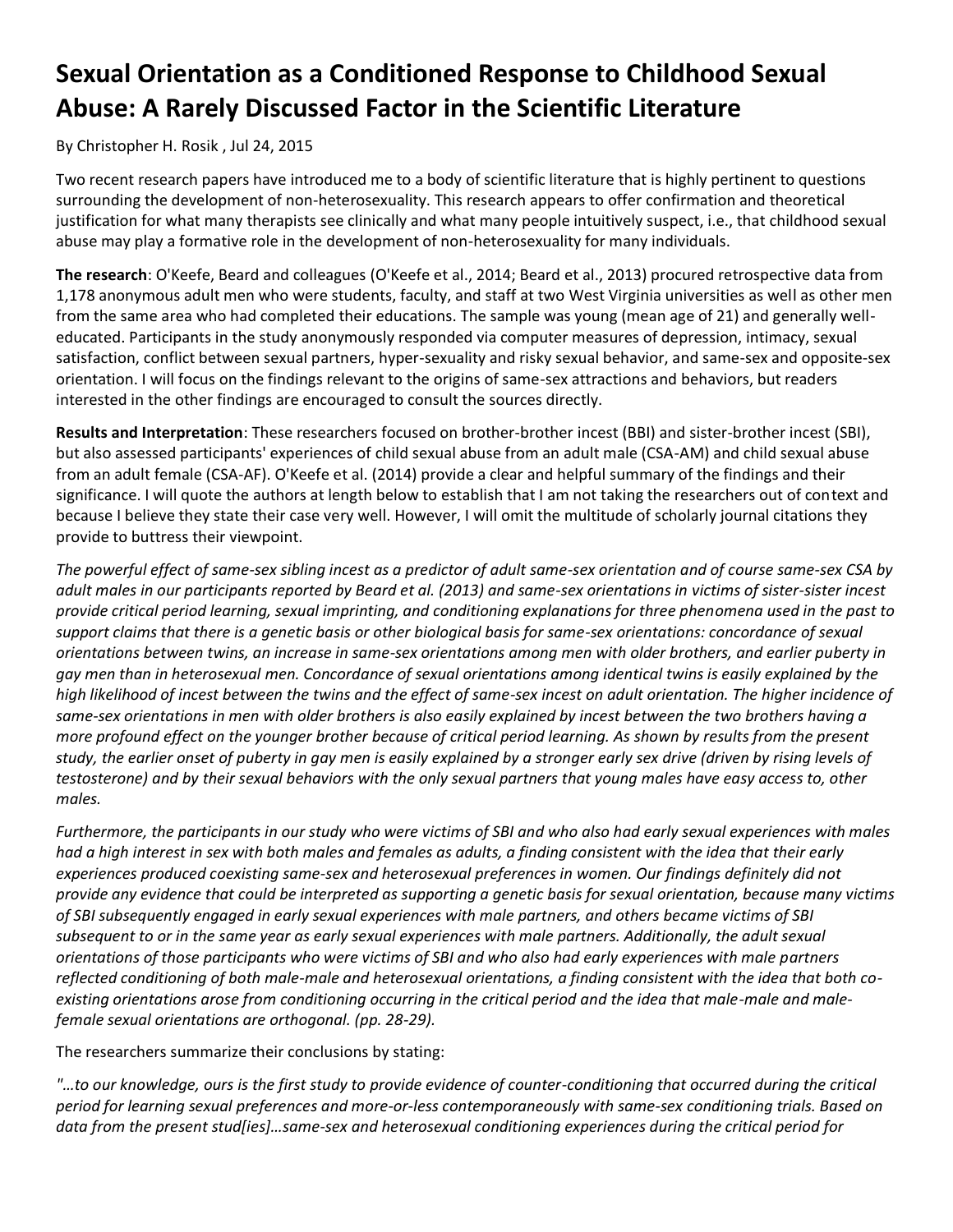## **Sexual Orientation as a Conditioned Response to Childhood Sexual Abuse: A Rarely Discussed Factor in the Scientific Literature**

## By [Christopher H. Rosik](https://www.christianpost.com/author/christopher-h-rosik/) , Jul 24, 2015

Two recent research papers have introduced me to a body of scientific literature that is highly pertinent to questions surrounding the development of non-heterosexuality. This research appears to offer confirmation and theoretical justification for what many therapists see clinically and what many people intuitively suspect, i.e., that childhood sexual abuse may play a formative role in the development of non-heterosexuality for many individuals.

**The research**: O'Keefe, Beard and colleagues (O'Keefe et al., 2014; Beard et al., 2013) procured retrospective data from 1,178 anonymous adult men who were students, faculty, and staff at two West Virginia universities as well as other men from the same area who had completed their educations. The sample was young (mean age of 21) and generally welleducated. Participants in the study anonymously responded via computer measures of depression, intimacy, sexual satisfaction, conflict between sexual partners, hyper-sexuality and risky sexual behavior, and same-sex and opposite-sex orientation. I will focus on the findings relevant to the origins of same-sex attractions and behaviors, but readers interested in the other findings are encouraged to consult the sources directly.

**Results and Interpretation**: These researchers focused on brother-brother incest (BBI) and sister-brother incest (SBI), but also assessed participants' experiences of child sexual abuse from an adult male (CSA-AM) and child sexual abuse from an adult female (CSA-AF). O'Keefe et al. (2014) provide a clear and helpful summary of the findings and their significance. I will quote the authors at length below to establish that I am not taking the researchers out of context and because I believe they state their case very well. However, I will omit the multitude of scholarly journal citations they provide to buttress their viewpoint.

*The powerful effect of same-sex sibling incest as a predictor of adult same-sex orientation and of course same-sex CSA by adult males in our participants reported by Beard et al. (2013) and same-sex orientations in victims of sister-sister incest provide critical period learning, sexual imprinting, and conditioning explanations for three phenomena used in the past to support claims that there is a genetic basis or other biological basis for same-sex orientations: concordance of sexual orientations between twins, an increase in same-sex orientations among men with older brothers, and earlier puberty in gay men than in heterosexual men. Concordance of sexual orientations among identical twins is easily explained by the high likelihood of incest between the twins and the effect of same-sex incest on adult orientation. The higher incidence of same-sex orientations in men with older brothers is also easily explained by incest between the two brothers having a more profound effect on the younger brother because of critical period learning. As shown by results from the present study, the earlier onset of puberty in gay men is easily explained by a stronger early sex drive (driven by rising levels of testosterone) and by their sexual behaviors with the only sexual partners that young males have easy access to, other males.*

*Furthermore, the participants in our study who were victims of SBI and who also had early sexual experiences with males had a high interest in sex with both males and females as adults, a finding consistent with the idea that their early experiences produced coexisting same-sex and heterosexual preferences in women. Our findings definitely did not provide any evidence that could be interpreted as supporting a genetic basis for sexual orientation, because many victims of SBI subsequently engaged in early sexual experiences with male partners, and others became victims of SBI subsequent to or in the same year as early sexual experiences with male partners. Additionally, the adult sexual orientations of those participants who were victims of SBI and who also had early experiences with male partners reflected conditioning of both male-male and heterosexual orientations, a finding consistent with the idea that both coexisting orientations arose from conditioning occurring in the critical period and the idea that male-male and malefemale sexual orientations are orthogonal. (pp. 28-29).*

The researchers summarize their conclusions by stating:

*"…to our knowledge, ours is the first study to provide evidence of counter-conditioning that occurred during the critical period for learning sexual preferences and more-or-less contemporaneously with same-sex conditioning trials. Based on data from the present stud[ies]…same-sex and heterosexual conditioning experiences during the critical period for*